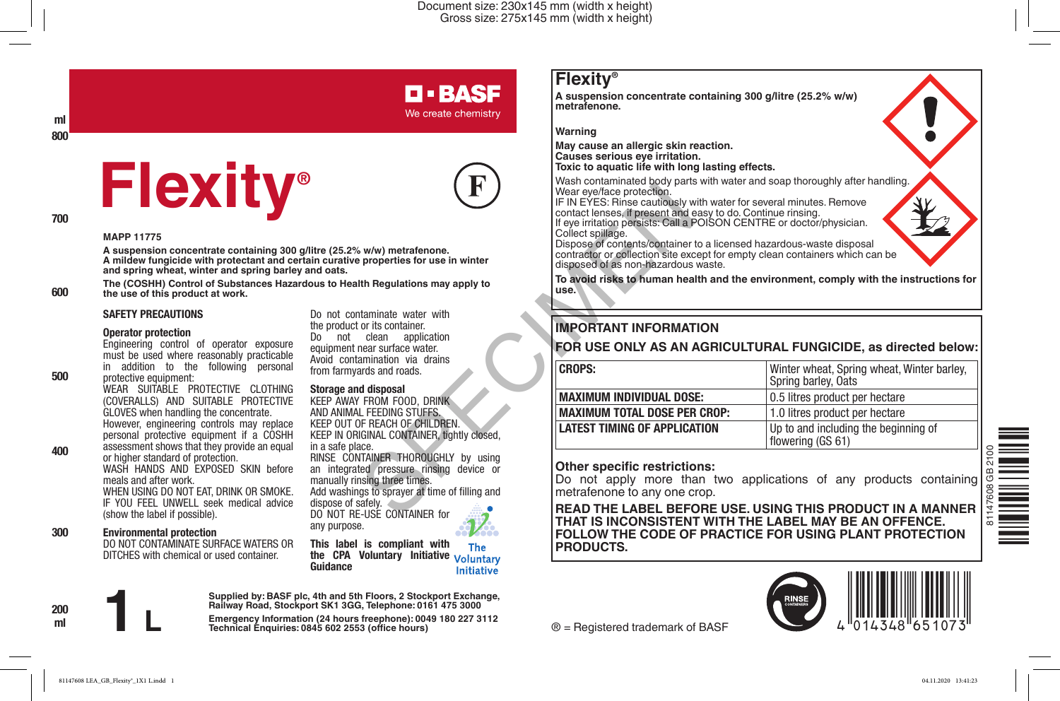#### Document size: 230x145 mm (width x height) Gross size: 275x145 mm (width x height)

## **D-BASF**

We create chemistry

**ml 800**

# **Flexity®**



**600**

**500**

**400**

**200 ml**

**MAPP 11775**

**A suspension concentrate containing 300 g/litre (25.2% w/w) metrafenone. A mildew fungicide with protectant and certain curative properties for use in winter and spring wheat, winter and spring barley and oats.**

**The (COSHH) Control of Substances Hazardous to Health Regulations may apply to the use of this product at work.**

#### **SAFETY PRECAUTIONS**

#### **Operator protection**

Engineering control of operator exposure

must be used where reasonably practicable in addition to the following personal protective equipment: WEAR SUITABLE PROTECTIVE CLOTHING

(COVERALLS) AND SUITABLE PROTECTIVE GLOVES when handling the concentrate. However, engineering controls may replace personal protective equipment if a COSHH assessment shows that they provide an equal or higher standard of protection. WASH HANDS AND EXPOSED SKIN before meals and after work. WHEN USING DO NOT EAT, DRINK OR SMOKE. IF YOU FEEL UNWELL seek medical advice (show the label if possible).

**Environmental protection 300**

DO NOT CONTAMINATE SURFACE WATERS OR DITCHES with chemical or used container.

Do not contaminate water with the product or its container. Do not clean application equipment near surface water. Avoid contamination via drains from farmyards and roads.

**Storage and disposal**

We are special proceed to the method contract lenses, if present and the special and the special and the special and the special and the special and the special and the special and the special and the special and the speci KEEP AWAY FROM FOOD, DRINK AND ANIMAL FEEDING STUFFS. KEEP OUT OF REACH OF CHILDREN. KEEP IN ORIGINAL CONTAINER, tightly closed, in a safe place. RINSE CONTAINER THOROUGHLY by using an integrated pressure rinsing device or manually rinsing three times. Add washings to sprayer at time of filling and dispose of safely. DO NOT RE-USE CONTAINER for any purpose. The

**This label is compliant with the CPA Voluntary Initiative Guidance**

Initiative

**Supplied by: BASF plc, 4th and 5th Floors, 2 Stockport Exchange, Railway Road, Stockport SK1 3GG, Telephone: 0161 475 3000**

Emergency Information (24 hours freephone): 0049 180 227 3112<br>Technical Enquiries: 0845 602 2553 (office hours)

### **Flexity®**

**A suspension concentrate containing 300 g/litre (25.2% w/w) metrafenone.** 

**Warning**

**May cause an allergic skin reaction. Causes serious eye irritation.**

**Toxic to aquatic life with long lasting effects.**

Wash contaminated body parts with water and soap thoroughly after handling. Wear eye/face protection.

IF IN EYES: Rinse cautiously with water for several minutes. Remove contact lenses, if present and easy to do. Continue rinsing.

If eye irritation persists: Call a POISON CENTRE or doctor/physician. Collect spillage.

Dispose of contents/container to a licensed hazardous-waste disposal contractor or collection site except for empty clean containers which can be disposed of as non-hazardous waste.

**To avoid risks to human health and the environment, comply with the instructions for use.**

#### **IMPORTANT INFORMATION**

#### **FOR USE ONLY AS AN AGRICULTURAL FUNGICIDE, as directed below:**

| <b>CROPS:</b>                       | Winter wheat, Spring wheat, Winter barley,<br>Spring barley, Oats |
|-------------------------------------|-------------------------------------------------------------------|
| <b>MAXIMUM INDIVIDUAL DOSE:</b>     | 0.5 litres product per hectare                                    |
| <b>MAXIMUM TOTAL DOSE PER CROP:</b> | 1.0 litres product per hectare                                    |
| <b>LATEST TIMING OF APPLICATION</b> | Up to and including the beginning of<br>flowering (GS 61)         |

#### **Other specific restrictions:**

Do not apply more than two applications of any products containing metrafenone to any one crop.

**READ THE LABEL BEFORE USE. USING THIS PRODUCT IN A MANNER THAT IS INCONSISTENT WITH THE LABEL MAY BE AN OFFENCE. FOLLOW THE CODE OF PRACTICE FOR USING PLANT PROTECTION PRODUCTS.**

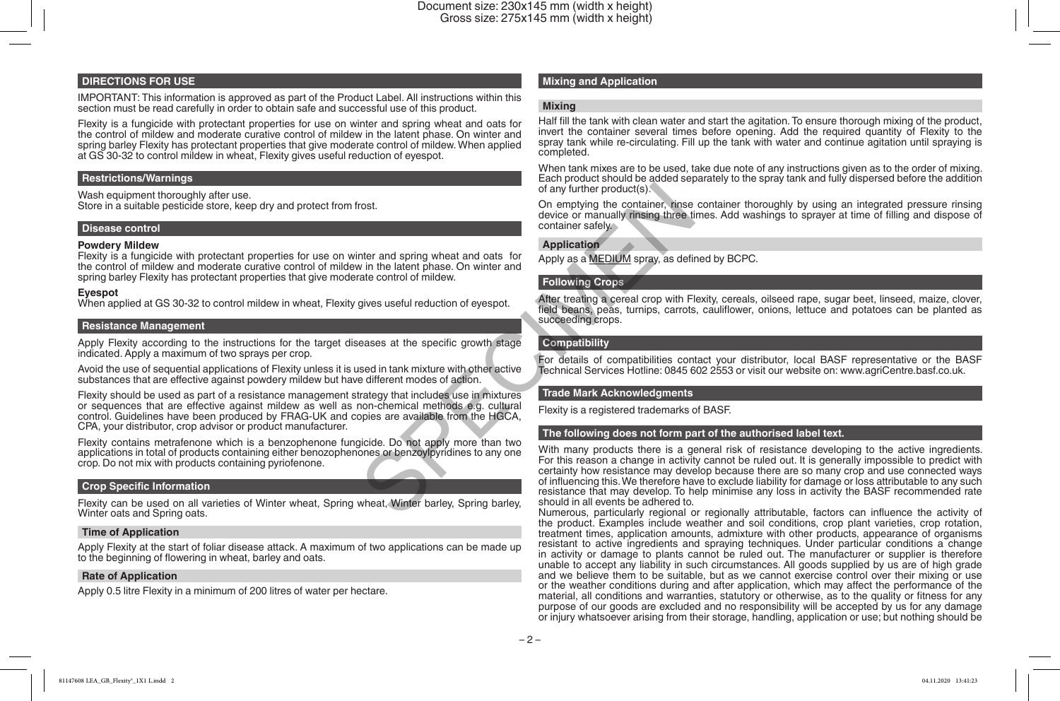#### **DIRECTIONS FOR USE**

IMPORTANT: This information is approved as part of the Product Label. All instructions within this section must be read carefully in order to obtain safe and successful use of this product.

Flexity is a fungicide with protectant properties for use on winter and spring wheat and oats for the control of mildew and moderate curative control of mildew in the latent phase. On winter and spring barley Flexity has protectant properties that give moderate control of mildew. When applied at GS 30-32 to control mildew in wheat, Flexity gives useful reduction of eyespot.

#### **Restrictions/Warnings**

Wash equipment thoroughly after use. Store in a suitable pesticide store, keep dry and protect from frost.

#### **Disease control**

**Powdery Mildew**<br>Flexity is a fungicide with protectant properties for use on winter and spring wheat and oats for the control of mildew and moderate curative control of mildew in the latent phase. On winter and spring barley Flexity has protectant properties that give moderate control of mildew.

#### **Eyespot**

When applied at GS 30-32 to control mildew in wheat, Flexity gives useful reduction of eyespot.

#### **Resistance Management**

Apply Flexity according to the instructions for the target diseases at the specific growth stage indicated. Apply a maximum of two sprays per crop.

Avoid the use of sequential applications of Flexity unless it is used in tank mixture with other active substances that are effective against powdery mildew but have different modes of action.

Flexity should be used as part of a resistance management strategy that includes use in mixtures or sequences that are effective against mildew as well as non-chemical methods e.g. cultural control. Guidelines have been produced by FRAG-UK and copies are available from the HGCA, CPA, your distributor, crop advisor or product manufacturer.

Flexity contains metrafenone which is a benzophenone fungicide. Do not apply more than two applications in total of products containing either benozophenones or benzoylpyridines to any one crop. Do not mix with products containing pyriofenone.

#### **Crop Specific Information**

Flexity can be used on all varieties of Winter wheat, Spring wheat, Winter barley, Spring barley, Winter oats and Spring oats.

#### **Time of Application**

Apply Flexity at the start of foliar disease attack. A maximum of two applications can be made up to the beginning of flowering in wheat, barley and oats.

#### **Rate of Application**

Apply 0.5 litre Flexity in a minimum of 200 litres of water per hectare.

#### **Mixing and Application**

#### **Mixing**

Half fill the tank with clean water and start the agitation. To ensure thorough mixing of the product, invert the container several times before opening. Add the required quantity of Flexity to the spray tank while re-circulating. Fill up the tank with water and continue agitation until spraying is completed.

When tank mixes are to be used, take due note of any instructions given as to the order of mixing. Each product should be added separately to the spray tank and fully dispersed before the addition of any further product(s).

On emptying the container, rinse container thoroughly by using an integrated pressure rinsing device or manually rinsing three times. Add washings to sprayer at time of filling and dispose of container safely.

#### **Application**

Apply as a MEDIUM spray, as defined by BCPC.

#### **Following Crops**

After treating a cereal crop with Flexity, cereals, oilseed rape, sugar beet, linseed, maize, clover, field beans, peas, turnips, carrots, cauliflower, onions, lettuce and potatoes can be planted as succeeding crops.

#### **Compatibility**

For details of compatibilities contact your distributor, local BASF representative or the BASF Technical Services Hotline: 0845 602 2553 or visit our website on: www.agriCentre.basf.co.uk.

#### **Trade Mark Acknowledgments**

Flexity is a registered trademarks of BASF.

#### **The following does not form part of the authorised label text.**

With many products there is a general risk of resistance developing to the active ingredients. For this reason a change in activity cannot be ruled out. It is generally impossible to predict with certainty how resistance may develop because there are so many crop and use connected ways of influencing this. We therefore have to exclude liability for damage or loss attributable to any such resistance that may develop. To help minimise any loss in activity the BASF recommended rate should in all events be adhered to. of any further product(s).<br>
On emptying the container charge device or manually insing three tis device or manually insing three tis container safely.<br>
Napplication<br>
Napplication<br>
Napplication<br>
Napplication<br>
Napplication<br>

Numerous, particularly regional or regionally attributable, factors can influence the activity of the product. Examples include weather and soil conditions, crop plant varieties, crop rotation, treatment times, application amounts, admixture with other products, appearance of organisms resistant to active ingredients and spraying techniques. Under particular conditions a change in activity or damage to plants cannot be ruled out. The manufacturer or supplier is therefore unable to accept any liability in such circumstances. All goods supplied by us are of high grade and we believe them to be suitable, but as we cannot exercise control over their mixing or use or the weather conditions during and after application, which may affect the performance of the material, all conditions and warranties, statutory or otherwise, as to the quality or fitness for any purpose of our goods are excluded and no responsibility will be accepted by us for any damage or injury whatsoever arising from their storage, handling, application or use; but nothing should be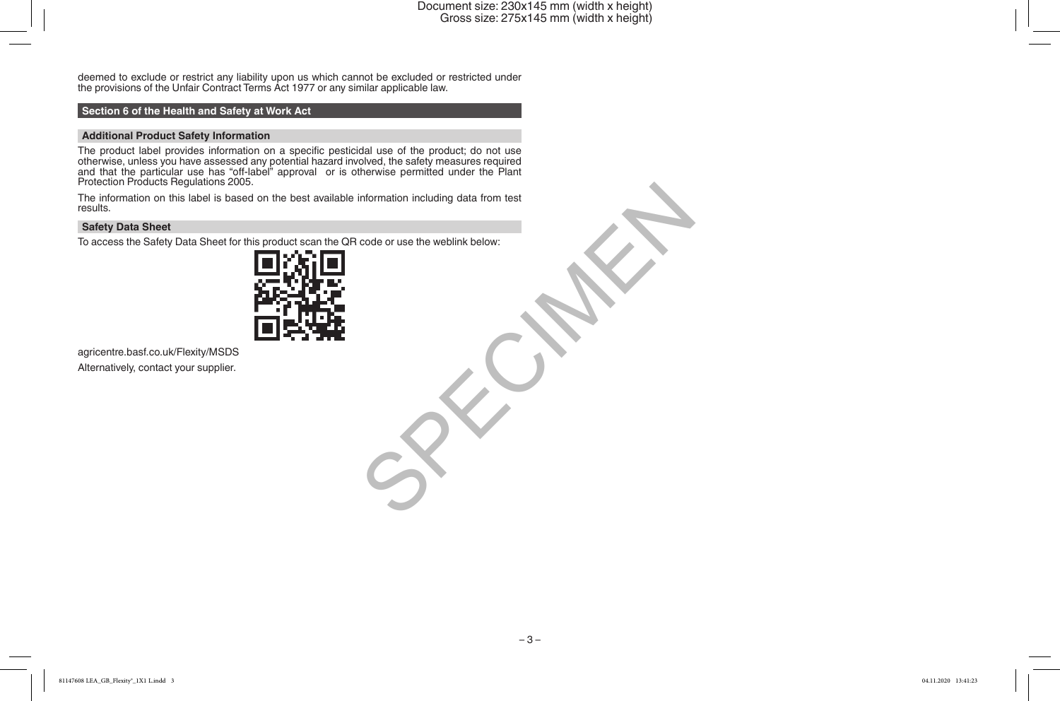deemed to exclude or restrict any liability upon us which cannot be excluded or restricted under the provisions of the Unfair Contract Terms Act 1977 or any similar applicable law.

#### **Section 6 of the Health and Safety at Work Act**

Additional Product Safety Information<br>The product label provides information on a specific pesticidal use of the product; do not use The product label provides information on a specific pesticidal use of the product; do not use<br>otherwise, unless you have assessed any potential hazard involved, the safety measures required<br>and that the particular use has

The information on this label is based on the best available information including data from test results.

#### **Safety Data Sheet**

To access the Safety Data Sheet for this product scan the QR code or use the weblink below:



agricentre.basf.co.uk/Flexity/MSDS Alternatively, contact your supplier.

Information including data from test<br>code or use the weblink below:<br>and the weblink below:<br>and the weblink below:<br>and the weblink below:<br>and the weblink below:<br>and the weblink below:<br>and the weblink below:<br>and the weblink